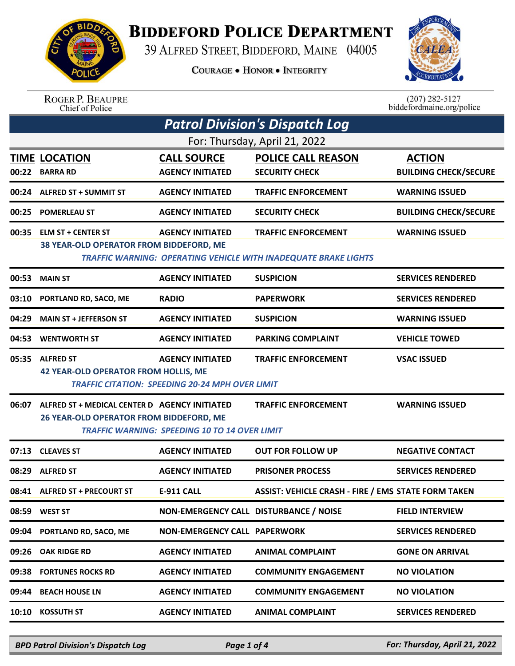

## **BIDDEFORD POLICE DEPARTMENT**

39 ALFRED STREET, BIDDEFORD, MAINE 04005

**COURAGE . HONOR . INTEGRITY** 



ROGER P. BEAUPRE<br>Chief of Police

 $(207)$  282-5127<br>biddefordmaine.org/police

| <b>Patrol Division's Dispatch Log</b> |                                                                                          |                                                                                   |                                                                                                      |                                               |  |  |
|---------------------------------------|------------------------------------------------------------------------------------------|-----------------------------------------------------------------------------------|------------------------------------------------------------------------------------------------------|-----------------------------------------------|--|--|
| For: Thursday, April 21, 2022         |                                                                                          |                                                                                   |                                                                                                      |                                               |  |  |
|                                       | <b>TIME LOCATION</b><br>00:22 BARRA RD                                                   | <b>CALL SOURCE</b><br><b>AGENCY INITIATED</b>                                     | <b>POLICE CALL REASON</b><br><b>SECURITY CHECK</b>                                                   | <b>ACTION</b><br><b>BUILDING CHECK/SECURE</b> |  |  |
| 00:24                                 | <b>ALFRED ST + SUMMIT ST</b>                                                             | <b>AGENCY INITIATED</b>                                                           | <b>TRAFFIC ENFORCEMENT</b>                                                                           | <b>WARNING ISSUED</b>                         |  |  |
| 00:25                                 | <b>POMERLEAU ST</b>                                                                      | <b>AGENCY INITIATED</b>                                                           | <b>SECURITY CHECK</b>                                                                                | <b>BUILDING CHECK/SECURE</b>                  |  |  |
| 00:35                                 | <b>ELM ST + CENTER ST</b><br>38 YEAR-OLD OPERATOR FROM BIDDEFORD, ME                     | <b>AGENCY INITIATED</b>                                                           | <b>TRAFFIC ENFORCEMENT</b><br><b>TRAFFIC WARNING: OPERATING VEHICLE WITH INADEQUATE BRAKE LIGHTS</b> | <b>WARNING ISSUED</b>                         |  |  |
| 00:53                                 | <b>MAIN ST</b>                                                                           | <b>AGENCY INITIATED</b>                                                           | <b>SUSPICION</b>                                                                                     | <b>SERVICES RENDERED</b>                      |  |  |
| 03:10                                 | PORTLAND RD, SACO, ME                                                                    | <b>RADIO</b>                                                                      | <b>PAPERWORK</b>                                                                                     | <b>SERVICES RENDERED</b>                      |  |  |
| 04:29                                 | <b>MAIN ST + JEFFERSON ST</b>                                                            | <b>AGENCY INITIATED</b>                                                           | <b>SUSPICION</b>                                                                                     | <b>WARNING ISSUED</b>                         |  |  |
| 04:53                                 | <b>WENTWORTH ST</b>                                                                      | <b>AGENCY INITIATED</b>                                                           | <b>PARKING COMPLAINT</b>                                                                             | <b>VEHICLE TOWED</b>                          |  |  |
| 05:35                                 | <b>ALFRED ST</b><br>42 YEAR-OLD OPERATOR FROM HOLLIS, ME                                 | <b>AGENCY INITIATED</b><br><b>TRAFFIC CITATION: SPEEDING 20-24 MPH OVER LIMIT</b> | <b>TRAFFIC ENFORCEMENT</b>                                                                           | <b>VSAC ISSUED</b>                            |  |  |
| 06:07                                 | ALFRED ST + MEDICAL CENTER D AGENCY INITIATED<br>26 YEAR-OLD OPERATOR FROM BIDDEFORD, ME | <b>TRAFFIC WARNING: SPEEDING 10 TO 14 OVER LIMIT</b>                              | <b>TRAFFIC ENFORCEMENT</b>                                                                           | <b>WARNING ISSUED</b>                         |  |  |
| 07:13                                 | <b>CLEAVES ST</b>                                                                        | <b>AGENCY INITIATED</b>                                                           | <b>OUT FOR FOLLOW UP</b>                                                                             | <b>NEGATIVE CONTACT</b>                       |  |  |
| 08:29                                 | <b>ALFRED ST</b>                                                                         | <b>AGENCY INITIATED</b>                                                           | <b>PRISONER PROCESS</b>                                                                              | <b>SERVICES RENDERED</b>                      |  |  |
| 08:41                                 | <b>ALFRED ST + PRECOURT ST</b>                                                           | <b>E-911 CALL</b>                                                                 | <b>ASSIST: VEHICLE CRASH - FIRE / EMS STATE FORM TAKEN</b>                                           |                                               |  |  |
| 08:59                                 | <b>WEST ST</b>                                                                           | NON-EMERGENCY CALL DISTURBANCE / NOISE                                            |                                                                                                      | <b>FIELD INTERVIEW</b>                        |  |  |
| 09:04                                 | PORTLAND RD, SACO, ME                                                                    | <b>NON-EMERGENCY CALL PAPERWORK</b>                                               |                                                                                                      | <b>SERVICES RENDERED</b>                      |  |  |
| 09:26                                 | <b>OAK RIDGE RD</b>                                                                      | <b>AGENCY INITIATED</b>                                                           | <b>ANIMAL COMPLAINT</b>                                                                              | <b>GONE ON ARRIVAL</b>                        |  |  |
| 09:38                                 | <b>FORTUNES ROCKS RD</b>                                                                 | <b>AGENCY INITIATED</b>                                                           | <b>COMMUNITY ENGAGEMENT</b>                                                                          | <b>NO VIOLATION</b>                           |  |  |
| 09:44                                 | <b>BEACH HOUSE LN</b>                                                                    | <b>AGENCY INITIATED</b>                                                           | <b>COMMUNITY ENGAGEMENT</b>                                                                          | <b>NO VIOLATION</b>                           |  |  |
| 10:10                                 | <b>KOSSUTH ST</b>                                                                        | <b>AGENCY INITIATED</b>                                                           | <b>ANIMAL COMPLAINT</b>                                                                              | <b>SERVICES RENDERED</b>                      |  |  |
|                                       |                                                                                          |                                                                                   |                                                                                                      |                                               |  |  |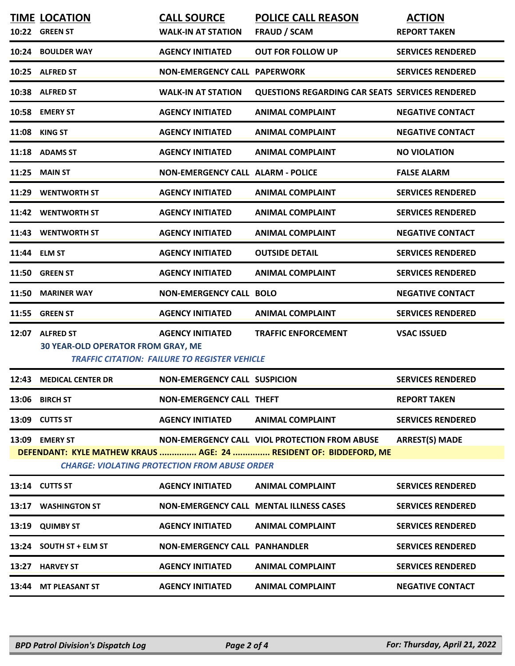|                                                                                                                                                                                                                       | <b>TIME LOCATION</b>                                         | <b>CALL SOURCE</b>                                                              | <b>POLICE CALL REASON</b>                              | <b>ACTION</b>            |  |  |
|-----------------------------------------------------------------------------------------------------------------------------------------------------------------------------------------------------------------------|--------------------------------------------------------------|---------------------------------------------------------------------------------|--------------------------------------------------------|--------------------------|--|--|
|                                                                                                                                                                                                                       | 10:22 GREEN ST                                               | <b>WALK-IN AT STATION</b>                                                       | <b>FRAUD / SCAM</b>                                    | <b>REPORT TAKEN</b>      |  |  |
|                                                                                                                                                                                                                       | 10:24 BOULDER WAY                                            | <b>AGENCY INITIATED</b>                                                         | <b>OUT FOR FOLLOW UP</b>                               | <b>SERVICES RENDERED</b> |  |  |
|                                                                                                                                                                                                                       | 10:25 ALFRED ST                                              | <b>NON-EMERGENCY CALL PAPERWORK</b>                                             |                                                        | <b>SERVICES RENDERED</b> |  |  |
|                                                                                                                                                                                                                       | 10:38 ALFRED ST                                              | <b>WALK-IN AT STATION</b>                                                       | <b>QUESTIONS REGARDING CAR SEATS SERVICES RENDERED</b> |                          |  |  |
|                                                                                                                                                                                                                       | 10:58 EMERY ST                                               | <b>AGENCY INITIATED</b>                                                         | <b>ANIMAL COMPLAINT</b>                                | <b>NEGATIVE CONTACT</b>  |  |  |
| 11:08                                                                                                                                                                                                                 | KING ST                                                      | <b>AGENCY INITIATED</b>                                                         | <b>ANIMAL COMPLAINT</b>                                | <b>NEGATIVE CONTACT</b>  |  |  |
|                                                                                                                                                                                                                       | 11:18 ADAMS ST                                               | <b>AGENCY INITIATED</b>                                                         | <b>ANIMAL COMPLAINT</b>                                | <b>NO VIOLATION</b>      |  |  |
| 11:25                                                                                                                                                                                                                 | <b>MAIN ST</b>                                               | <b>NON-EMERGENCY CALL ALARM - POLICE</b>                                        |                                                        | <b>FALSE ALARM</b>       |  |  |
|                                                                                                                                                                                                                       | 11:29 WENTWORTH ST                                           | <b>AGENCY INITIATED</b>                                                         | <b>ANIMAL COMPLAINT</b>                                | <b>SERVICES RENDERED</b> |  |  |
|                                                                                                                                                                                                                       | 11:42 WENTWORTH ST                                           | <b>AGENCY INITIATED</b>                                                         | <b>ANIMAL COMPLAINT</b>                                | <b>SERVICES RENDERED</b> |  |  |
|                                                                                                                                                                                                                       | 11:43 WENTWORTH ST                                           | <b>AGENCY INITIATED</b>                                                         | <b>ANIMAL COMPLAINT</b>                                | <b>NEGATIVE CONTACT</b>  |  |  |
| 11:44 ELM ST                                                                                                                                                                                                          |                                                              | <b>AGENCY INITIATED</b>                                                         | <b>OUTSIDE DETAIL</b>                                  | <b>SERVICES RENDERED</b> |  |  |
|                                                                                                                                                                                                                       | 11:50 GREEN ST                                               | <b>AGENCY INITIATED</b>                                                         | <b>ANIMAL COMPLAINT</b>                                | <b>SERVICES RENDERED</b> |  |  |
| 11:50                                                                                                                                                                                                                 | <b>MARINER WAY</b>                                           | <b>NON-EMERGENCY CALL BOLO</b>                                                  |                                                        | <b>NEGATIVE CONTACT</b>  |  |  |
| 11:55                                                                                                                                                                                                                 | <b>GREEN ST</b>                                              | <b>AGENCY INITIATED</b>                                                         | <b>ANIMAL COMPLAINT</b>                                | <b>SERVICES RENDERED</b> |  |  |
|                                                                                                                                                                                                                       | 12:07 ALFRED ST<br><b>30 YEAR-OLD OPERATOR FROM GRAY, ME</b> | <b>AGENCY INITIATED</b><br><b>TRAFFIC CITATION: FAILURE TO REGISTER VEHICLE</b> | <b>TRAFFIC ENFORCEMENT</b>                             | <b>VSAC ISSUED</b>       |  |  |
|                                                                                                                                                                                                                       | 12:43 MEDICAL CENTER DR                                      | <b>NON-EMERGENCY CALL SUSPICION</b>                                             |                                                        | <b>SERVICES RENDERED</b> |  |  |
|                                                                                                                                                                                                                       | 13:06 BIRCH ST                                               | <b>NON-EMERGENCY CALL THEFT</b>                                                 |                                                        | <b>REPORT TAKEN</b>      |  |  |
|                                                                                                                                                                                                                       | 13:09 CUTTS ST                                               | <b>AGENCY INITIATED</b>                                                         | <b>ANIMAL COMPLAINT</b>                                | <b>SERVICES RENDERED</b> |  |  |
| <b>ARREST(S) MADE</b><br>NON-EMERGENCY CALL VIOL PROTECTION FROM ABUSE<br>13:09 EMERY ST<br>DEFENDANT: KYLE MATHEW KRAUS  AGE: 24  RESIDENT OF: BIDDEFORD, ME<br><b>CHARGE: VIOLATING PROTECTION FROM ABUSE ORDER</b> |                                                              |                                                                                 |                                                        |                          |  |  |
|                                                                                                                                                                                                                       |                                                              |                                                                                 |                                                        |                          |  |  |
|                                                                                                                                                                                                                       | 13:14 CUTTS ST                                               | <b>AGENCY INITIATED</b>                                                         | <b>ANIMAL COMPLAINT</b>                                | <b>SERVICES RENDERED</b> |  |  |
| 13:17                                                                                                                                                                                                                 | <b>WASHINGTON ST</b>                                         |                                                                                 | <b>NON-EMERGENCY CALL MENTAL ILLNESS CASES</b>         | <b>SERVICES RENDERED</b> |  |  |
| 13:19                                                                                                                                                                                                                 | <b>QUIMBY ST</b>                                             | <b>AGENCY INITIATED</b>                                                         | <b>ANIMAL COMPLAINT</b>                                | <b>SERVICES RENDERED</b> |  |  |
|                                                                                                                                                                                                                       | 13:24 SOUTH ST + ELM ST                                      | <b>NON-EMERGENCY CALL PANHANDLER</b>                                            |                                                        | <b>SERVICES RENDERED</b> |  |  |
|                                                                                                                                                                                                                       | 13:27 HARVEY ST                                              | <b>AGENCY INITIATED</b>                                                         | <b>ANIMAL COMPLAINT</b>                                | <b>SERVICES RENDERED</b> |  |  |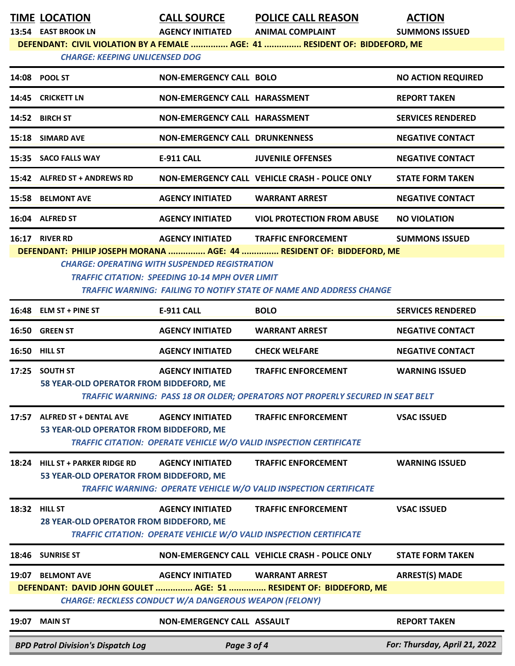**TIME LOCATION CALL SOURCE POLICE CALL REASON ACTION**<br> **ACTION ACENCY INITIATED** ANIMAL COMPLAINT SUMMONS IS

**13:54 EAST BROOK LN AGENCY INITIATED ANIMAL COMPLAINT SUMMONS ISSUED**

**DEFENDANT: CIVIL VIOLATION BY A FEMALE ............... AGE: 41 ............... RESIDENT OF: BIDDEFORD, ME**

## *CHARGE: KEEPING UNLICENSED DOG*

|       | $16:48$ ELM ST + PINE ST                                             | <b>E-911 CALL</b>                     | <b>BOLO</b>                                           | <b>SERVICES RENDERED</b>  |  |  |
|-------|----------------------------------------------------------------------|---------------------------------------|-------------------------------------------------------|---------------------------|--|--|
|       | TRAFFIC WARNING: FAILING TO NOTIFY STATE OF NAME AND ADDRESS CHANGE  |                                       |                                                       |                           |  |  |
|       | <b>TRAFFIC CITATION: SPEEDING 10-14 MPH OVER LIMIT</b>               |                                       |                                                       |                           |  |  |
|       | <b>CHARGE: OPERATING WITH SUSPENDED REGISTRATION</b>                 |                                       |                                                       |                           |  |  |
|       | DEFENDANT: PHILIP JOSEPH MORANA  AGE: 44  RESIDENT OF: BIDDEFORD, ME |                                       |                                                       |                           |  |  |
| 16:17 | <b>RIVER RD</b>                                                      |                                       | AGENCY INITIATED TRAFFIC ENFORCEMENT                  | <b>SUMMONS ISSUED</b>     |  |  |
|       | 16:04 ALFRED ST                                                      | <b>AGENCY INITIATED</b>               | <b>VIOL PROTECTION FROM ABUSE</b>                     | <b>NO VIOLATION</b>       |  |  |
|       | <b>15:58 BELMONT AVE</b>                                             | <b>AGENCY INITIATED</b>               | <b>WARRANT ARREST</b>                                 | <b>NEGATIVE CONTACT</b>   |  |  |
|       | 15:42 ALFRED ST + ANDREWS RD                                         |                                       | <b>NON-EMERGENCY CALL VEHICLE CRASH - POLICE ONLY</b> | <b>STATE FORM TAKEN</b>   |  |  |
|       | 15:35 SACO FALLS WAY                                                 | <b>E-911 CALL</b>                     | <b>JUVENILE OFFENSES</b>                              | <b>NEGATIVE CONTACT</b>   |  |  |
|       | 15:18 SIMARD AVE                                                     | <b>NON-EMERGENCY CALL DRUNKENNESS</b> |                                                       | <b>NEGATIVE CONTACT</b>   |  |  |
|       | 14:52 BIRCH ST                                                       | <b>NON-EMERGENCY CALL HARASSMENT</b>  |                                                       | <b>SERVICES RENDERED</b>  |  |  |
|       | 14:45 CRICKETT LN                                                    | <b>NON-EMERGENCY CALL HARASSMENT</b>  |                                                       | <b>REPORT TAKEN</b>       |  |  |
|       | 14:08 POOL ST                                                        | <b>NON-EMERGENCY CALL BOLO</b>        |                                                       | <b>NO ACTION REQUIRED</b> |  |  |
|       | Change, Neel into Uniclosed Dog                                      |                                       |                                                       |                           |  |  |

|       | 16:50 GREEN ST                                                             | <b>AGENCY INITIATED</b>                                                                          | <b>WARRANT ARREST</b>                                                                                        | <b>NEGATIVE CONTACT</b>       |
|-------|----------------------------------------------------------------------------|--------------------------------------------------------------------------------------------------|--------------------------------------------------------------------------------------------------------------|-------------------------------|
|       | <b>16:50 HILL ST</b>                                                       | <b>AGENCY INITIATED</b>                                                                          | <b>CHECK WELFARE</b>                                                                                         | <b>NEGATIVE CONTACT</b>       |
| 17:25 | <b>SOUTH ST</b><br>58 YEAR-OLD OPERATOR FROM BIDDEFORD, ME                 | <b>AGENCY INITIATED</b>                                                                          | <b>TRAFFIC ENFORCEMENT</b><br>TRAFFIC WARNING: PASS 18 OR OLDER; OPERATORS NOT PROPERLY SECURED IN SEAT BELT | <b>WARNING ISSUED</b>         |
| 17:57 | <b>ALFRED ST + DENTAL AVE</b><br>53 YEAR-OLD OPERATOR FROM BIDDEFORD, ME   | <b>AGENCY INITIATED</b>                                                                          | <b>TRAFFIC ENFORCEMENT</b><br><b>TRAFFIC CITATION: OPERATE VEHICLE W/O VALID INSPECTION CERTIFICATE</b>      | <b>VSAC ISSUED</b>            |
|       | 18:24 HILL ST + PARKER RIDGE RD<br>53 YEAR-OLD OPERATOR FROM BIDDEFORD, ME | <b>AGENCY INITIATED</b>                                                                          | <b>TRAFFIC ENFORCEMENT</b><br><b>TRAFFIC WARNING: OPERATE VEHICLE W/O VALID INSPECTION CERTIFICATE</b>       | <b>WARNING ISSUED</b>         |
|       | <b>18:32 HILL ST</b><br>28 YEAR-OLD OPERATOR FROM BIDDEFORD, ME            | <b>AGENCY INITIATED</b>                                                                          | <b>TRAFFIC ENFORCEMENT</b><br><b>TRAFFIC CITATION: OPERATE VEHICLE W/O VALID INSPECTION CERTIFICATE</b>      | <b>VSAC ISSUED</b>            |
|       | 18:46 SUNRISE ST                                                           |                                                                                                  | NON-EMERGENCY CALL VEHICLE CRASH - POLICE ONLY                                                               | <b>STATE FORM TAKEN</b>       |
| 19:07 | <b>BELMONT AVE</b>                                                         | AGENCY INITIATED WARRANT ARREST<br><b>CHARGE: RECKLESS CONDUCT W/A DANGEROUS WEAPON (FELONY)</b> | DEFENDANT: DAVID JOHN GOULET  AGE: 51  RESIDENT OF: BIDDEFORD, ME                                            | <b>ARREST(S) MADE</b>         |
| 19:07 | <b>MAIN ST</b>                                                             | <b>NON-EMERGENCY CALL ASSAULT</b>                                                                |                                                                                                              | <b>REPORT TAKEN</b>           |
|       | <b>BPD Patrol Division's Dispatch Log</b>                                  | Page 3 of 4                                                                                      |                                                                                                              | For: Thursday, April 21, 2022 |